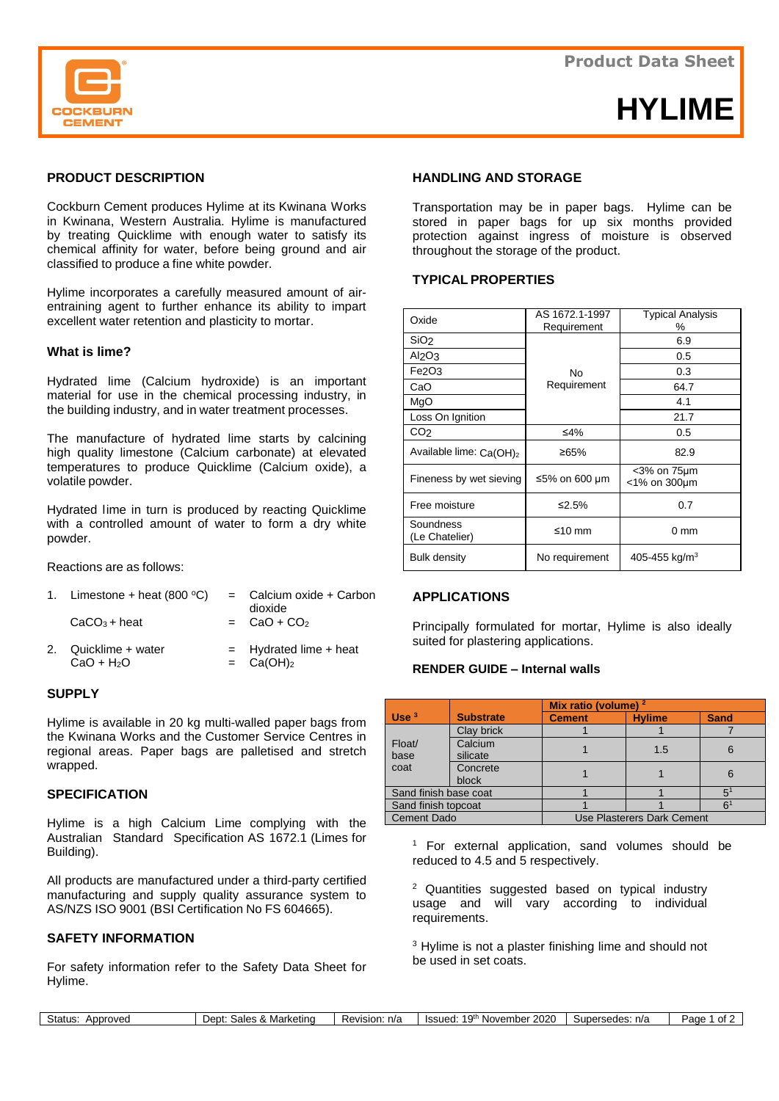

# **HYLIME**

## **PRODUCT DESCRIPTION**

Cockburn Cement produces Hylime at its Kwinana Works in Kwinana, Western Australia. Hylime is manufactured by treating Quicklime with enough water to satisfy its chemical affinity for water, before being ground and air classified to produce a fine white powder.

Hylime incorporates a carefully measured amount of airentraining agent to further enhance its ability to impart excellent water retention and plasticity to mortar.

#### **What is lime?**

Hydrated lime (Calcium hydroxide) is an important material for use in the chemical processing industry, in the building industry, and in water treatment processes.

The manufacture of hydrated lime starts by calcining high quality limestone (Calcium carbonate) at elevated temperatures to produce Quicklime (Calcium oxide), a volatile powder.

Hydrated lime in turn is produced by reacting Quicklime with a controlled amount of water to form a dry white powder.

Reactions are as follows:

| 1. Limestone + heat $(800 °C)$      | = Calcium oxide + Carbon<br>dioxide                   |
|-------------------------------------|-------------------------------------------------------|
| $CaCO3 + heat$                      | $=$ CaO + CO <sub>2</sub>                             |
| 2. Quicklime + water<br>$CaO + H2O$ | $=$ Hydrated lime $+$ heat<br>$=$ Ca(OH) <sub>2</sub> |

#### **SUPPLY**

Hylime is available in 20 kg multi-walled paper bags from the Kwinana Works and the Customer Service Centres in regional areas. Paper bags are palletised and stretch wrapped.

#### **SPECIFICATION**

Hylime is a high Calcium Lime complying with the Australian Standard Specification AS 1672.1 (Limes for Building).

All products are manufactured under a third-party certified manufacturing and supply quality assurance system to AS/NZS ISO 9001 (BSI Certification No FS 604665).

## **SAFETY INFORMATION**

Г

For safety information refer to the Safety Data Sheet for Hylime.

#### **HANDLING AND STORAGE**

Transportation may be in paper bags. Hylime can be stored in paper bags for up six months provided protection against ingress of moisture is observed throughout the storage of the product.

## **TYPICAL PROPERTIES**

| Oxide                               | AS 1672.1-1997<br>Requirement | <b>Typical Analysis</b><br>℅         |  |
|-------------------------------------|-------------------------------|--------------------------------------|--|
| SiO <sub>2</sub>                    |                               | 6.9                                  |  |
| Al <sub>2</sub> O <sub>3</sub>      |                               | 0.5                                  |  |
| Fe2O3                               | No                            | 0.3                                  |  |
| CaO                                 | Requirement                   | 64.7                                 |  |
| MgO                                 |                               | 4.1                                  |  |
| Loss On Ignition                    |                               | 21.7                                 |  |
| CO <sub>2</sub>                     | ≤4%                           | 0.5                                  |  |
| Available lime: Ca(OH) <sub>2</sub> | ≥65%                          | 82.9                                 |  |
| Fineness by wet sieving             | ≤5% on 600 µm                 | $<$ 3% on 75 $\mu$ m<br><1% on 300µm |  |
| Free moisture                       | ≤2.5%                         | 0.7                                  |  |
| Soundness<br>(Le Chatelier)         | ≤10 mm                        | 0 mm                                 |  |
| Bulk density                        | No requirement                | 405-455 kg/m <sup>3</sup>            |  |

### **APPLICATIONS**

Principally formulated for mortar, Hylime is also ideally suited for plastering applications.

## **RENDER GUIDE – Internal walls**

|                       |                  | Mix ratio (volume) $2$     |               |             |
|-----------------------|------------------|----------------------------|---------------|-------------|
| Use <sup>3</sup>      | <b>Substrate</b> | <b>Cement</b>              | <b>Hylime</b> | <b>Sand</b> |
|                       | Clay brick       |                            |               |             |
| Float/                | Calcium          |                            | 1.5           | 6           |
| base                  | silicate         |                            |               |             |
| coat                  | Concrete         |                            |               | 6           |
|                       | block            |                            |               |             |
| Sand finish base coat |                  |                            |               | 5           |
| Sand finish topcoat   |                  |                            |               | ς.          |
| <b>Cement Dado</b>    |                  | Use Plasterers Dark Cement |               |             |

<sup>1</sup> For external application, sand volumes should be reduced to 4.5 and 5 respectively.

 $2$  Quantities suggested based on typical industry usage and will vary according to individual requirements.

<sup>3</sup> Hylime is not a plaster finishing lime and should not be used in set coats.

| Status:<br>Approved | Sales & Marketing<br>Dept: | Revision: n/a | 19th November 2<br>2020<br>Issued: | Supersedes: n/a | Page<br>`ot ∠ |
|---------------------|----------------------------|---------------|------------------------------------|-----------------|---------------|
|                     |                            |               |                                    |                 |               |